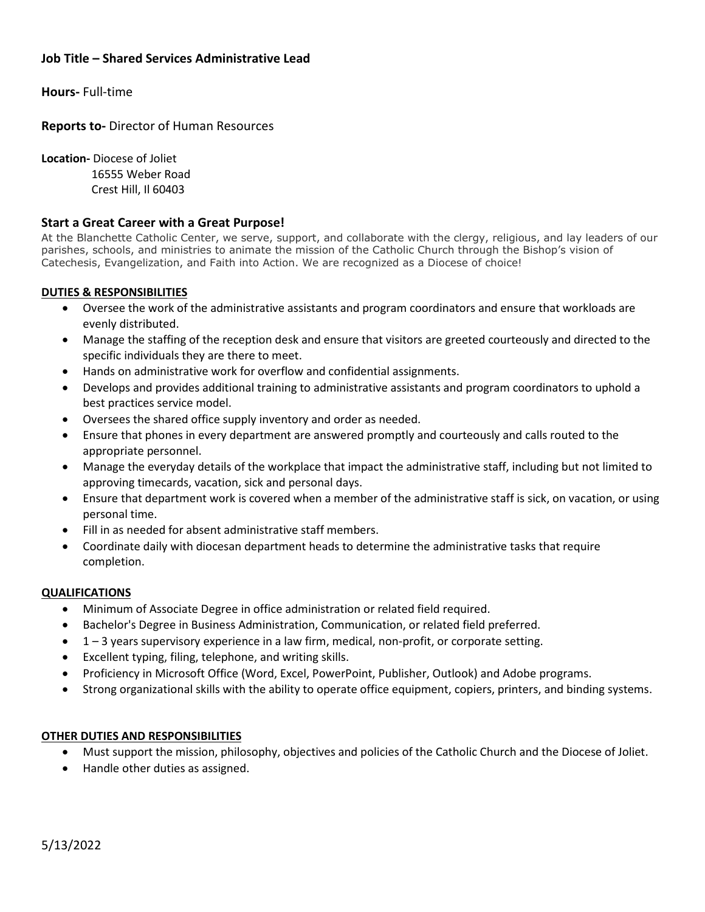# **Job Title – Shared Services Administrative Lead**

**Hours-** Full-time

**Reports to-** Director of Human Resources

**Location-** Diocese of Joliet 16555 Weber Road Crest Hill, Il 60403

### **Start a Great Career with a Great Purpose!**

At the Blanchette Catholic Center, we serve, support, and collaborate with the clergy, religious, and lay leaders of our parishes, schools, and ministries to animate the mission of the Catholic Church through the Bishop's vision of Catechesis, Evangelization, and Faith into Action. We are recognized as a Diocese of choice!

### **DUTIES & RESPONSIBILITIES**

- Oversee the work of the administrative assistants and program coordinators and ensure that workloads are evenly distributed.
- Manage the staffing of the reception desk and ensure that visitors are greeted courteously and directed to the specific individuals they are there to meet.
- Hands on administrative work for overflow and confidential assignments.
- Develops and provides additional training to administrative assistants and program coordinators to uphold a best practices service model.
- Oversees the shared office supply inventory and order as needed.
- Ensure that phones in every department are answered promptly and courteously and calls routed to the appropriate personnel.
- Manage the everyday details of the workplace that impact the administrative staff, including but not limited to approving timecards, vacation, sick and personal days.
- Ensure that department work is covered when a member of the administrative staff is sick, on vacation, or using personal time.
- Fill in as needed for absent administrative staff members.
- Coordinate daily with diocesan department heads to determine the administrative tasks that require completion.

#### **QUALIFICATIONS**

- Minimum of Associate Degree in office administration or related field required.
- Bachelor's Degree in Business Administration, Communication, or related field preferred.
- 1 3 years supervisory experience in a law firm, medical, non-profit, or corporate setting.
- Excellent typing, filing, telephone, and writing skills.
- Proficiency in Microsoft Office (Word, Excel, PowerPoint, Publisher, Outlook) and Adobe programs.
- Strong organizational skills with the ability to operate office equipment, copiers, printers, and binding systems.

#### **OTHER DUTIES AND RESPONSIBILITIES**

- Must support the mission, philosophy, objectives and policies of the Catholic Church and the Diocese of Joliet.
- Handle other duties as assigned.